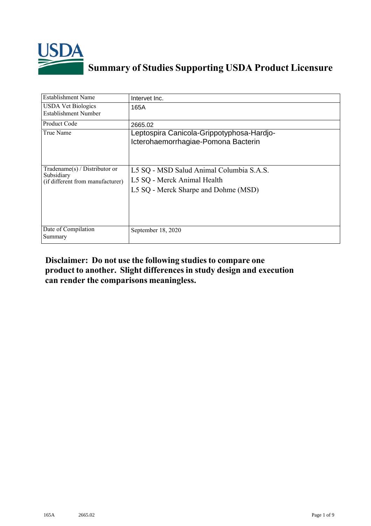

## **Summary of Studies Supporting USDA Product Licensure**

| Establishment Name                                                              | Intervet Inc.                                                                                                   |
|---------------------------------------------------------------------------------|-----------------------------------------------------------------------------------------------------------------|
| <b>USDA Vet Biologics</b><br>Establishment Number                               | 165A                                                                                                            |
| <b>Product Code</b>                                                             | 2665.02                                                                                                         |
| True Name                                                                       | Leptospira Canicola-Grippotyphosa-Hardjo-<br>Icterohaemorrhagiae-Pomona Bacterin                                |
| Tradename(s) / Distributor or<br>Subsidiary<br>(if different from manufacturer) | L5 SQ - MSD Salud Animal Columbia S.A.S.<br>L5 SQ - Merck Animal Health<br>L5 SQ - Merck Sharpe and Dohme (MSD) |
| Date of Compilation<br>Summary                                                  | September 18, 2020                                                                                              |

## **Disclaimer: Do not use the following studiesto compare one product to another. Slight differencesin study design and execution can render the comparisons meaningless.**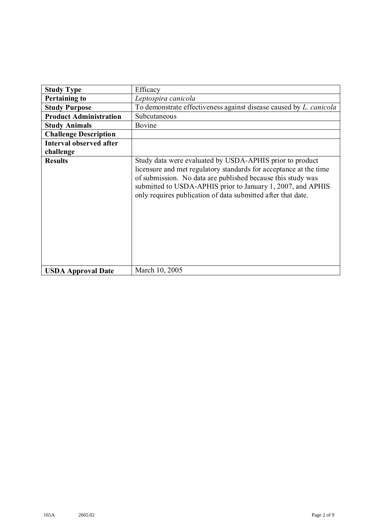| <b>Study Type</b>              | Efficacy                                                                                                                                                                                                                                                                                                                    |  |
|--------------------------------|-----------------------------------------------------------------------------------------------------------------------------------------------------------------------------------------------------------------------------------------------------------------------------------------------------------------------------|--|
| <b>Pertaining to</b>           | Leptospira canicola                                                                                                                                                                                                                                                                                                         |  |
| <b>Study Purpose</b>           | To demonstrate effectiveness against disease caused by <i>L. canicola</i>                                                                                                                                                                                                                                                   |  |
| <b>Product Administration</b>  | Subcutaneous                                                                                                                                                                                                                                                                                                                |  |
| <b>Study Animals</b>           | Bovine                                                                                                                                                                                                                                                                                                                      |  |
| <b>Challenge Description</b>   |                                                                                                                                                                                                                                                                                                                             |  |
| <b>Interval observed after</b> |                                                                                                                                                                                                                                                                                                                             |  |
| challenge                      |                                                                                                                                                                                                                                                                                                                             |  |
| <b>Results</b>                 | Study data were evaluated by USDA-APHIS prior to product<br>licensure and met regulatory standards for acceptance at the time<br>of submission. No data are published because this study was<br>submitted to USDA-APHIS prior to January 1, 2007, and APHIS<br>only requires publication of data submitted after that date. |  |
| <b>USDA Approval Date</b>      | March 10, 2005                                                                                                                                                                                                                                                                                                              |  |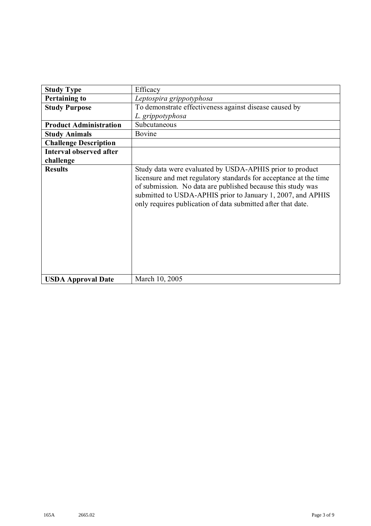| <b>Study Type</b>              | Efficacy                                                                                                                                                                                                                                                                                                                    |  |
|--------------------------------|-----------------------------------------------------------------------------------------------------------------------------------------------------------------------------------------------------------------------------------------------------------------------------------------------------------------------------|--|
| <b>Pertaining to</b>           | Leptospira grippotyphosa                                                                                                                                                                                                                                                                                                    |  |
| <b>Study Purpose</b>           | To demonstrate effectiveness against disease caused by                                                                                                                                                                                                                                                                      |  |
|                                | L. grippotyphosa                                                                                                                                                                                                                                                                                                            |  |
| <b>Product Administration</b>  | Subcutaneous                                                                                                                                                                                                                                                                                                                |  |
| <b>Study Animals</b>           | Bovine                                                                                                                                                                                                                                                                                                                      |  |
| <b>Challenge Description</b>   |                                                                                                                                                                                                                                                                                                                             |  |
| <b>Interval observed after</b> |                                                                                                                                                                                                                                                                                                                             |  |
| challenge                      |                                                                                                                                                                                                                                                                                                                             |  |
| <b>Results</b>                 | Study data were evaluated by USDA-APHIS prior to product<br>licensure and met regulatory standards for acceptance at the time<br>of submission. No data are published because this study was<br>submitted to USDA-APHIS prior to January 1, 2007, and APHIS<br>only requires publication of data submitted after that date. |  |
| <b>USDA Approval Date</b>      | March 10, 2005                                                                                                                                                                                                                                                                                                              |  |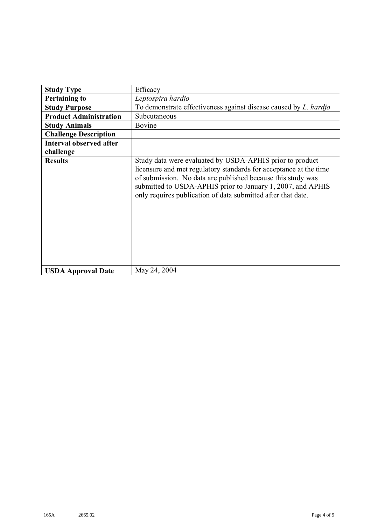| <b>Study Type</b>              | Efficacy                                                                                                                                                                                                                                                                                                                    |  |
|--------------------------------|-----------------------------------------------------------------------------------------------------------------------------------------------------------------------------------------------------------------------------------------------------------------------------------------------------------------------------|--|
| <b>Pertaining to</b>           | Leptospira hardjo                                                                                                                                                                                                                                                                                                           |  |
| <b>Study Purpose</b>           | To demonstrate effectiveness against disease caused by L. hardjo                                                                                                                                                                                                                                                            |  |
| <b>Product Administration</b>  | Subcutaneous                                                                                                                                                                                                                                                                                                                |  |
| <b>Study Animals</b>           | Bovine                                                                                                                                                                                                                                                                                                                      |  |
| <b>Challenge Description</b>   |                                                                                                                                                                                                                                                                                                                             |  |
| <b>Interval observed after</b> |                                                                                                                                                                                                                                                                                                                             |  |
| challenge                      |                                                                                                                                                                                                                                                                                                                             |  |
| <b>Results</b>                 | Study data were evaluated by USDA-APHIS prior to product<br>licensure and met regulatory standards for acceptance at the time<br>of submission. No data are published because this study was<br>submitted to USDA-APHIS prior to January 1, 2007, and APHIS<br>only requires publication of data submitted after that date. |  |
| <b>USDA Approval Date</b>      | May 24, 2004                                                                                                                                                                                                                                                                                                                |  |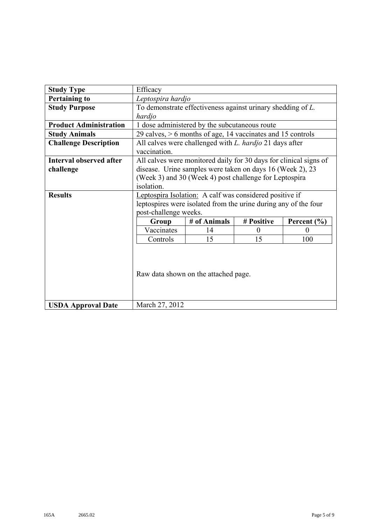| <b>Study Type</b>              | Efficacy                                                          |              |            |                 |
|--------------------------------|-------------------------------------------------------------------|--------------|------------|-----------------|
| <b>Pertaining to</b>           | Leptospira hardjo                                                 |              |            |                 |
| <b>Study Purpose</b>           | To demonstrate effectiveness against urinary shedding of L.       |              |            |                 |
|                                | hardjo                                                            |              |            |                 |
| <b>Product Administration</b>  | 1 dose administered by the subcutaneous route                     |              |            |                 |
| <b>Study Animals</b>           | 29 calves, $> 6$ months of age, 14 vaccinates and 15 controls     |              |            |                 |
| <b>Challenge Description</b>   | All calves were challenged with L. hardjo 21 days after           |              |            |                 |
|                                | vaccination.                                                      |              |            |                 |
| <b>Interval observed after</b> | All calves were monitored daily for 30 days for clinical signs of |              |            |                 |
| challenge                      | disease. Urine samples were taken on days 16 (Week 2), 23         |              |            |                 |
|                                | (Week 3) and 30 (Week 4) post challenge for Leptospira            |              |            |                 |
|                                | isolation.                                                        |              |            |                 |
| <b>Results</b>                 | Leptospira Isolation: A calf was considered positive if           |              |            |                 |
|                                | leptospires were isolated from the urine during any of the four   |              |            |                 |
|                                | post-challenge weeks.                                             |              |            |                 |
|                                | Group                                                             | # of Animals | # Positive | Percent $(\% )$ |
|                                | Vaccinates                                                        | 14           | $\theta$   | $\theta$        |
|                                | Controls                                                          | 15           | 15         | 100             |
|                                | Raw data shown on the attached page.                              |              |            |                 |
| <b>USDA Approval Date</b>      | March 27, 2012                                                    |              |            |                 |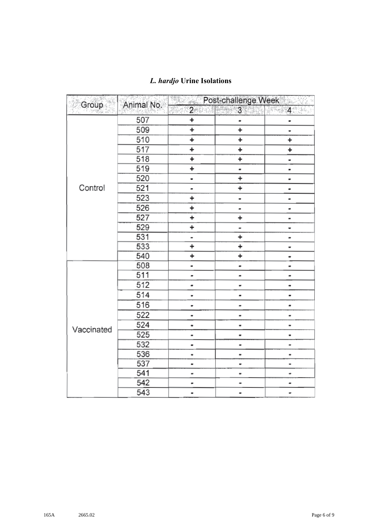| Group      | Animal No. |                              | Post-challenge Week      |                              |
|------------|------------|------------------------------|--------------------------|------------------------------|
|            |            | 2 <sub>o</sub>               | 3 <sup>1</sup>           | 4<br>S PRES                  |
|            | 507        | <sup>+</sup>                 |                          |                              |
|            | 509        | +                            | $\ddot{}$                |                              |
|            | 510        | $\ddot{}$                    | $\ddot{}$                | $\ddot{}$                    |
|            | 517        | +                            | ÷,                       | ÷                            |
|            | 518        | ÷                            | Ŧ.                       |                              |
|            | 519        | <sup>+</sup>                 | -                        | $\blacksquare$               |
|            | 520        | u                            | +                        |                              |
| Control    | 521        |                              | +                        | $\overline{\phantom{0}}$     |
|            | 523        | ÷                            |                          | -                            |
|            | 526        | $\ddot{}$                    | -                        | $\blacksquare$               |
|            | 527        | ÷                            | ÷                        |                              |
|            | 529        | ÷                            | -                        | ٠                            |
|            | 531        | -                            | $\ddot{}$                | $\qquad \qquad \blacksquare$ |
|            | 533        | ÷                            | $\ddot{}$                |                              |
|            | 540        | ÷                            | ÷                        |                              |
|            | 508        | $\qquad \qquad \blacksquare$ |                          | ۰                            |
|            | 511        |                              |                          | -                            |
|            | 512        |                              |                          |                              |
|            | 514        | ۰                            |                          |                              |
|            | 516        |                              |                          |                              |
|            | 522        | $\blacksquare$               | -                        |                              |
|            | 524        |                              | ٠                        |                              |
| Vaccinated | 525        | -                            |                          |                              |
|            | 532        |                              | $\overline{\phantom{0}}$ |                              |
|            | 536        |                              |                          | $\qquad \qquad \blacksquare$ |
|            | 537        |                              | $\tilde{\phantom{a}}$    | $\qquad \qquad \blacksquare$ |
|            | 541        |                              |                          |                              |
|            | 542        |                              |                          |                              |
|            | 543        | ۰                            | $\blacksquare$           |                              |

## *L. hardjo* **Urine Isolations**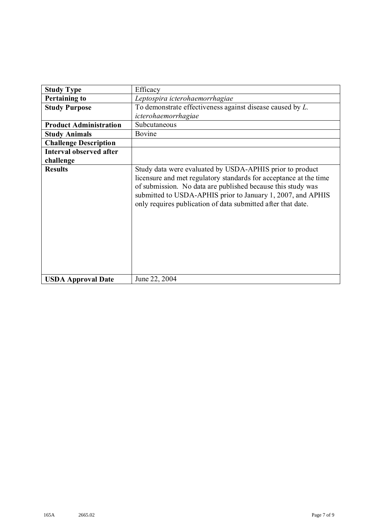| <b>Study Type</b>              | Efficacy                                                                                                                                                                                                                                                                                                                    |  |
|--------------------------------|-----------------------------------------------------------------------------------------------------------------------------------------------------------------------------------------------------------------------------------------------------------------------------------------------------------------------------|--|
| <b>Pertaining to</b>           | Leptospira icterohaemorrhagiae                                                                                                                                                                                                                                                                                              |  |
| <b>Study Purpose</b>           | To demonstrate effectiveness against disease caused by $L$ .                                                                                                                                                                                                                                                                |  |
|                                | icterohaemorrhagiae                                                                                                                                                                                                                                                                                                         |  |
| <b>Product Administration</b>  | Subcutaneous                                                                                                                                                                                                                                                                                                                |  |
| <b>Study Animals</b>           | Bovine                                                                                                                                                                                                                                                                                                                      |  |
| <b>Challenge Description</b>   |                                                                                                                                                                                                                                                                                                                             |  |
| <b>Interval observed after</b> |                                                                                                                                                                                                                                                                                                                             |  |
| challenge                      |                                                                                                                                                                                                                                                                                                                             |  |
| <b>Results</b>                 | Study data were evaluated by USDA-APHIS prior to product<br>licensure and met regulatory standards for acceptance at the time<br>of submission. No data are published because this study was<br>submitted to USDA-APHIS prior to January 1, 2007, and APHIS<br>only requires publication of data submitted after that date. |  |
| <b>USDA Approval Date</b>      | June 22, 2004                                                                                                                                                                                                                                                                                                               |  |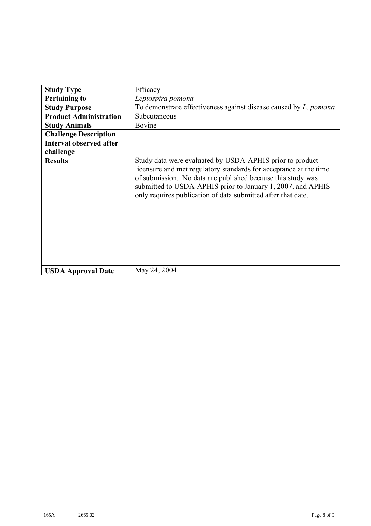| <b>Study Type</b>              | Efficacy                                                                                                                                                                                                                                                                                                                    |  |
|--------------------------------|-----------------------------------------------------------------------------------------------------------------------------------------------------------------------------------------------------------------------------------------------------------------------------------------------------------------------------|--|
| <b>Pertaining to</b>           | Leptospira pomona                                                                                                                                                                                                                                                                                                           |  |
| <b>Study Purpose</b>           | To demonstrate effectiveness against disease caused by <i>L. pomona</i>                                                                                                                                                                                                                                                     |  |
| <b>Product Administration</b>  | Subcutaneous                                                                                                                                                                                                                                                                                                                |  |
| <b>Study Animals</b>           | Bovine                                                                                                                                                                                                                                                                                                                      |  |
| <b>Challenge Description</b>   |                                                                                                                                                                                                                                                                                                                             |  |
| <b>Interval observed after</b> |                                                                                                                                                                                                                                                                                                                             |  |
| challenge                      |                                                                                                                                                                                                                                                                                                                             |  |
| <b>Results</b>                 | Study data were evaluated by USDA-APHIS prior to product<br>licensure and met regulatory standards for acceptance at the time<br>of submission. No data are published because this study was<br>submitted to USDA-APHIS prior to January 1, 2007, and APHIS<br>only requires publication of data submitted after that date. |  |
| <b>USDA Approval Date</b>      | May 24, 2004                                                                                                                                                                                                                                                                                                                |  |